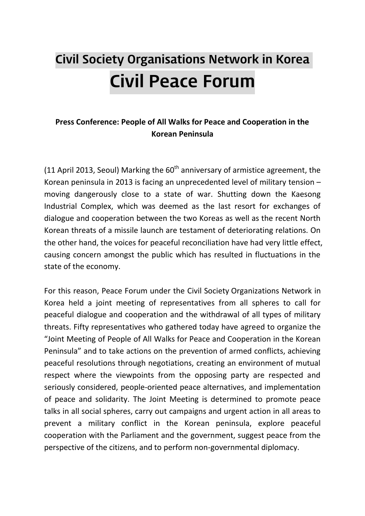# Civil Society Organisations Network in Korea Civil Peace Forum

### **Press Conference: People of All Walks for Peace and Cooperation in the Korean Peninsula**

(11 April 2013, Seoul) Marking the  $60<sup>th</sup>$  anniversary of armistice agreement, the Korean peninsula in 2013 is facing an unprecedented level of military tension – moving dangerously close to a state of war. Shutting down the Kaesong Industrial Complex, which was deemed as the last resort for exchanges of dialogue and cooperation between the two Koreas as well as the recent North Korean threats of a missile launch are testament of deteriorating relations. On the other hand, the voices for peaceful reconciliation have had very little effect, causing concern amongst the public which has resulted in fluctuations in the state of the economy.

For this reason, Peace Forum under the Civil Society Organizations Network in Korea held a joint meeting of representatives from all spheres to call for peaceful dialogue and cooperation and the withdrawal of all types of military threats. Fifty representatives who gathered today have agreed to organize the "Joint Meeting of People of All Walks for Peace and Cooperation in the Korean Peninsula" and to take actions on the prevention of armed conflicts, achieving peaceful resolutions through negotiations, creating an environment of mutual respect where the viewpoints from the opposing party are respected and seriously considered, people-oriented peace alternatives, and implementation of peace and solidarity. The Joint Meeting is determined to promote peace talks in all social spheres, carry out campaigns and urgent action in all areas to prevent a military conflict in the Korean peninsula, explore peaceful cooperation with the Parliament and the government, suggest peace from the perspective of the citizens, and to perform non-governmental diplomacy.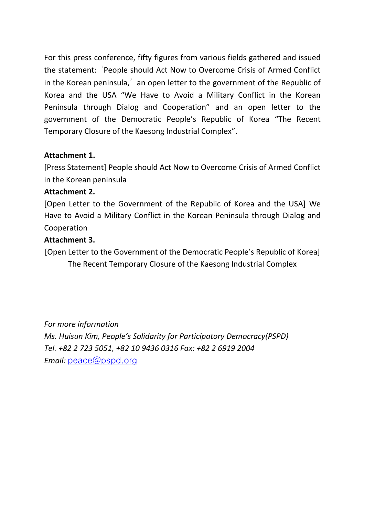For this press conference, fifty figures from various fields gathered and issued the statement: 'People should Act Now to Overcome Crisis of Armed Conflict in the Korean peninsula,' an open letter to the government of the Republic of Korea and the USA "We Have to Avoid a Military Conflict in the Korean Peninsula through Dialog and Cooperation" and an open letter to the government of the Democratic People's Republic of Korea "The Recent Temporary Closure of the Kaesong Industrial Complex".

#### **Attachment 1.**

[Press Statement] People should Act Now to Overcome Crisis of Armed Conflict in the Korean peninsula

#### **Attachment 2.**

[Open Letter to the Government of the Republic of Korea and the USA] We Have to Avoid a Military Conflict in the Korean Peninsula through Dialog and Cooperation

#### **Attachment 3.**

[Open Letter to the Government of the Democratic People's Republic of Korea] The Recent Temporary Closure of the Kaesong Industrial Complex

*For more information Ms. Huisun Kim, People's Solidarity for Participatory Democracy(PSPD) Tel. +82 2 723 5051, +82 10 9436 0316 Fax: +82 2 6919 2004 Email:* peace@pspd.org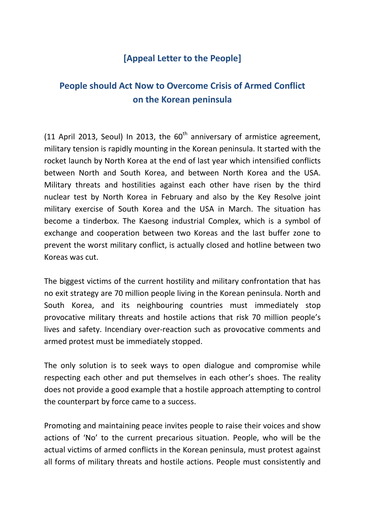## **[Appeal Letter to the People]**

# **People should Act Now to Overcome Crisis of Armed Conflict on the Korean peninsula**

(11 April 2013, Seoul) In 2013, the  $60<sup>th</sup>$  anniversary of armistice agreement, military tension is rapidly mounting in the Korean peninsula. It started with the rocket launch by North Korea at the end of last year which intensified conflicts between North and South Korea, and between North Korea and the USA. Military threats and hostilities against each other have risen by the third nuclear test by North Korea in February and also by the Key Resolve joint military exercise of South Korea and the USA in March. The situation has become a tinderbox. The Kaesong industrial Complex, which is a symbol of exchange and cooperation between two Koreas and the last buffer zone to prevent the worst military conflict, is actually closed and hotline between two Koreas was cut.

The biggest victims of the current hostility and military confrontation that has no exit strategy are 70 million people living in the Korean peninsula. North and South Korea, and its neighbouring countries must immediately stop provocative military threats and hostile actions that risk 70 million people's lives and safety. Incendiary over-reaction such as provocative comments and armed protest must be immediately stopped.

The only solution is to seek ways to open dialogue and compromise while respecting each other and put themselves in each other's shoes. The reality does not provide a good example that a hostile approach attempting to control the counterpart by force came to a success.

Promoting and maintaining peace invites people to raise their voices and show actions of 'No' to the current precarious situation. People, who will be the actual victims of armed conflicts in the Korean peninsula, must protest against all forms of military threats and hostile actions. People must consistently and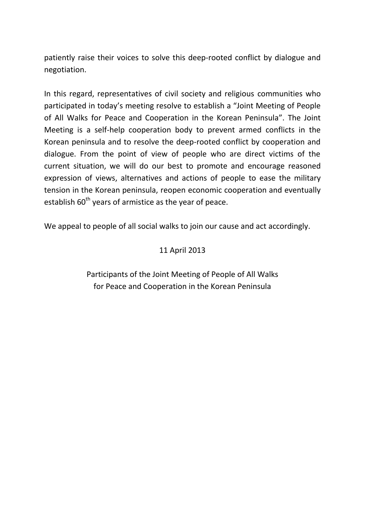patiently raise their voices to solve this deep-rooted conflict by dialogue and negotiation.

In this regard, representatives of civil society and religious communities who participated in today's meeting resolve to establish a "Joint Meeting of People of All Walks for Peace and Cooperation in the Korean Peninsula". The Joint Meeting is a self-help cooperation body to prevent armed conflicts in the Korean peninsula and to resolve the deep-rooted conflict by cooperation and dialogue. From the point of view of people who are direct victims of the current situation, we will do our best to promote and encourage reasoned expression of views, alternatives and actions of people to ease the military tension in the Korean peninsula, reopen economic cooperation and eventually establish  $60<sup>th</sup>$  years of armistice as the year of peace.

We appeal to people of all social walks to join our cause and act accordingly.

#### 11 April 2013

Participants of the Joint Meeting of People of All Walks for Peace and Cooperation in the Korean Peninsula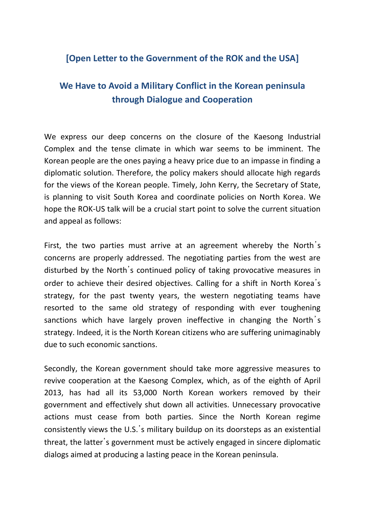## **[Open Letter to the Government of the ROK and the USA]**

# **We Have to Avoid a Military Conflict in the Korean peninsula through Dialogue and Cooperation**

We express our deep concerns on the closure of the Kaesong Industrial Complex and the tense climate in which war seems to be imminent. The Korean people are the ones paying a heavy price due to an impasse in finding a diplomatic solution. Therefore, the policy makers should allocate high regards for the views of the Korean people. Timely, John Kerry, the Secretary of State, is planning to visit South Korea and coordinate policies on North Korea. We hope the ROK-US talk will be a crucial start point to solve the current situation and appeal as follows:

First, the two parties must arrive at an agreement whereby the North's concerns are properly addressed. The negotiating parties from the west are disturbed by the North's continued policy of taking provocative measures in order to achieve their desired objectives. Calling for a shift in North Korea's strategy, for the past twenty years, the western negotiating teams have resorted to the same old strategy of responding with ever toughening sanctions which have largely proven ineffective in changing the North's strategy. Indeed, it is the North Korean citizens who are suffering unimaginably due to such economic sanctions.

Secondly, the Korean government should take more aggressive measures to revive cooperation at the Kaesong Complex, which, as of the eighth of April 2013, has had all its 53,000 North Korean workers removed by their government and effectively shut down all activities. Unnecessary provocative actions must cease from both parties. Since the North Korean regime consistently views the U.S.'s military buildup on its doorsteps as an existential threat, the latter's government must be actively engaged in sincere diplomatic dialogs aimed at producing a lasting peace in the Korean peninsula.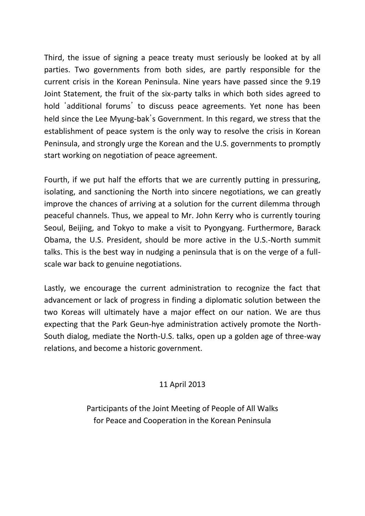Third, the issue of signing a peace treaty must seriously be looked at by all parties. Two governments from both sides, are partly responsible for the current crisis in the Korean Peninsula. Nine years have passed since the 9.19 Joint Statement, the fruit of the six-party talks in which both sides agreed to hold 'additional forums' to discuss peace agreements. Yet none has been held since the Lee Myung-bak's Government. In this regard, we stress that the establishment of peace system is the only way to resolve the crisis in Korean Peninsula, and strongly urge the Korean and the U.S. governments to promptly start working on negotiation of peace agreement.

Fourth, if we put half the efforts that we are currently putting in pressuring, isolating, and sanctioning the North into sincere negotiations, we can greatly improve the chances of arriving at a solution for the current dilemma through peaceful channels. Thus, we appeal to Mr. John Kerry who is currently touring Seoul, Beijing, and Tokyo to make a visit to Pyongyang. Furthermore, Barack Obama, the U.S. President, should be more active in the U.S.-North summit talks. This is the best way in nudging a peninsula that is on the verge of a fullscale war back to genuine negotiations.

Lastly, we encourage the current administration to recognize the fact that advancement or lack of progress in finding a diplomatic solution between the two Koreas will ultimately have a major effect on our nation. We are thus expecting that the Park Geun-hye administration actively promote the North-South dialog, mediate the North-U.S. talks, open up a golden age of three-way relations, and become a historic government.

#### 11 April 2013

Participants of the Joint Meeting of People of All Walks for Peace and Cooperation in the Korean Peninsula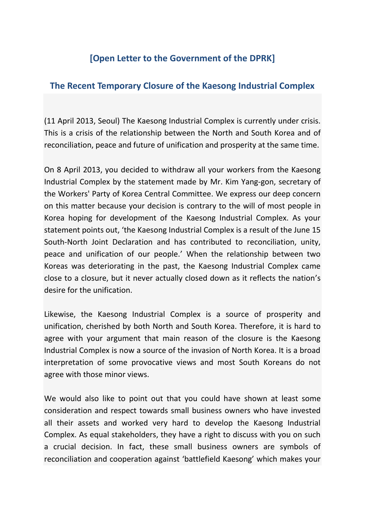## **[Open Letter to the Government of the DPRK]**

## **The Recent Temporary Closure of the Kaesong Industrial Complex**

(11 April 2013, Seoul) The Kaesong Industrial Complex is currently under crisis. This is a crisis of the relationship between the North and South Korea and of reconciliation, peace and future of unification and prosperity at the same time.

On 8 April 2013, you decided to withdraw all your workers from the Kaesong Industrial Complex by the statement made by Mr. Kim Yang-gon, secretary of the Workers' Party of Korea Central Committee. We express our deep concern on this matter because your decision is contrary to the will of most people in Korea hoping for development of the Kaesong Industrial Complex. As your statement points out, 'the Kaesong Industrial Complex is a result of the June 15 South-North Joint Declaration and has contributed to reconciliation, unity, peace and unification of our people.' When the relationship between two Koreas was deteriorating in the past, the Kaesong Industrial Complex came close to a closure, but it never actually closed down as it reflects the nation's desire for the unification.

Likewise, the Kaesong Industrial Complex is a source of prosperity and unification, cherished by both North and South Korea. Therefore, it is hard to agree with your argument that main reason of the closure is the Kaesong Industrial Complex is now a source of the invasion of North Korea. It is a broad interpretation of some provocative views and most South Koreans do not agree with those minor views.

We would also like to point out that you could have shown at least some consideration and respect towards small business owners who have invested all their assets and worked very hard to develop the Kaesong Industrial Complex. As equal stakeholders, they have a right to discuss with you on such a crucial decision. In fact, these small business owners are symbols of reconciliation and cooperation against 'battlefield Kaesong' which makes your